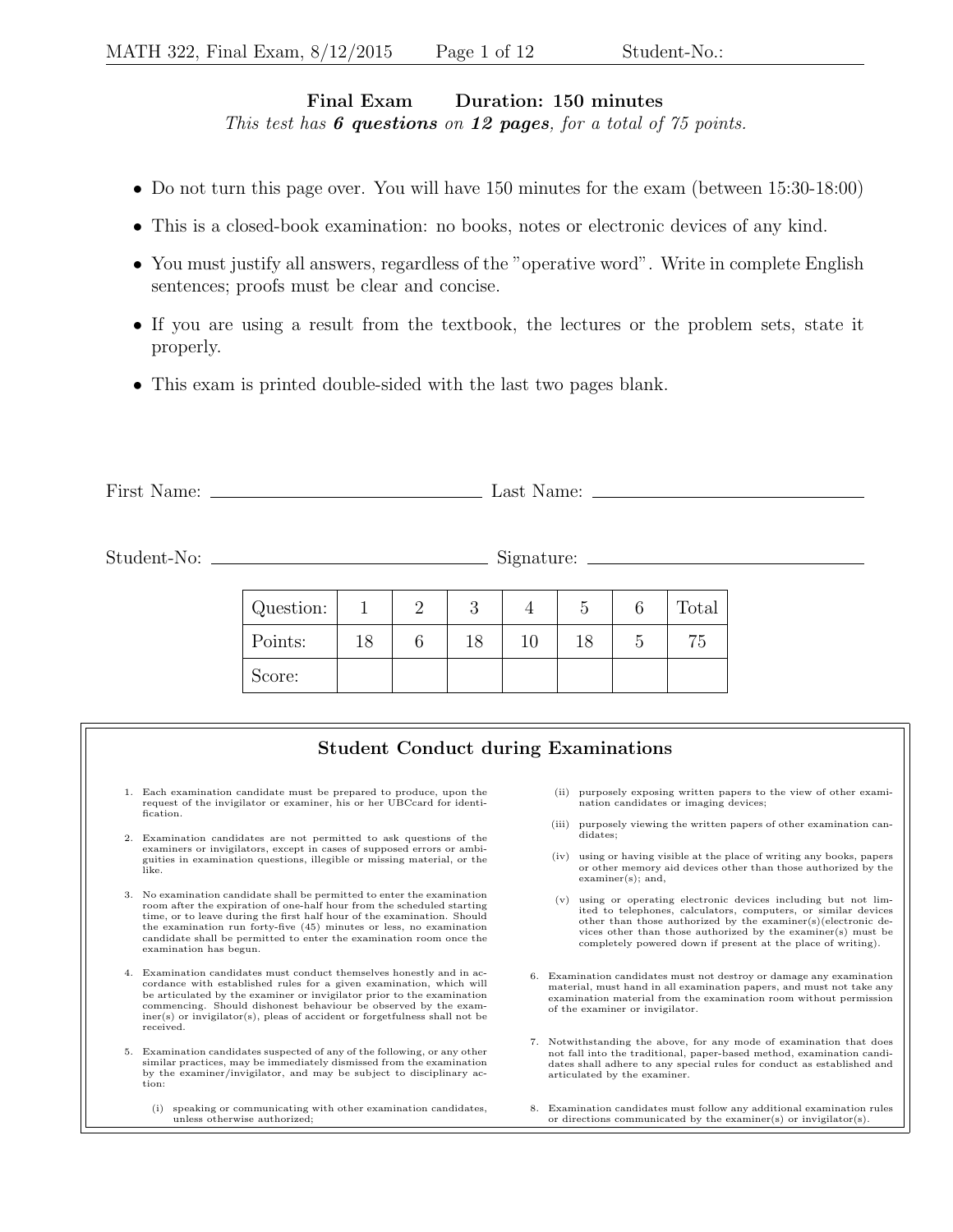## Final Exam Duration: 150 minutes This test has  $6$  questions on 12 pages, for a total of  $75$  points.

- Do not turn this page over. You will have 150 minutes for the exam (between 15:30-18:00)
- This is a closed-book examination: no books, notes or electronic devices of any kind.
- You must justify all answers, regardless of the "operative word". Write in complete English sentences; proofs must be clear and concise.
- If you are using a result from the textbook, the lectures or the problem sets, state it properly.
- This exam is printed double-sided with the last two pages blank.

| First N | Last  |
|---------|-------|
| Name:   | Name: |
|         |       |

Student-No: Signature:

| Question: |    |    |    |    | Total |
|-----------|----|----|----|----|-------|
| Points:   | 18 | 18 | 10 | 18 | 75    |
| Score:    |    |    |    |    |       |

## Student Conduct during Examinations

- 1. Each examination candidate must be prepared to produce, upon the request of the invigilator or examiner, his or her UBCcard for identification.
- 2. Examination candidates are not permitted to ask questions of the examiners or invigilators, except in cases of supposed errors or ambiguities in examination questions, illegible or missing material, or the like.
- 3. No examination candidate shall be permitted to enter the examination room after the expiration of one-half hour from the scheduled starting time, or to leave during the first half hour of the examination. Should the examination run forty-five (45) minutes or less, no examination candidate shall be permitted to enter the examination room once the examination has begun.
- 4. Examination candidates must conduct themselves honestly and in accordance with established rules for a given examination, which will be articulated by the examiner or invigilator prior to the examination commencing. Should dishonest behaviour be observed by the examiner(s) or invigilator(s), pleas of accident or forgetfulness shall not be received.
- 5. Examination candidates suspected of any of the following, or any other similar practices, may be immediately dismissed from the examination by the examiner/invigilator, and may be subject to disciplinary action:
	- (i) speaking or communicating with other examination candidates, unless otherwise authorized;
- (ii) purposely exposing written papers to the view of other examination candidates or imaging devices;
- (iii) purposely viewing the written papers of other examination candidates;
- (iv) using or having visible at the place of writing any books, papers or other memory aid devices other than those authorized by the examiner(s); and,
- (v) using or operating electronic devices including but not limited to telephones, calculators, computers, or similar devices other than those authorized by the examiner(s)(electronic de-vices other than those authorized by the examiner(s) must be completely powered down if present at the place of writing).
- 6. Examination candidates must not destroy or damage any examination material, must hand in all examination papers, and must not take any examination material from the examination room without permission of the examiner or invigilator.
- 7. Notwithstanding the above, for any mode of examination that does not fall into the traditional, paper-based method, examination candidates shall adhere to any special rules for conduct as established and articulated by the examiner.
- 8. Examination candidates must follow any additional examination rules or directions communicated by the examiner(s) or invigilator(s).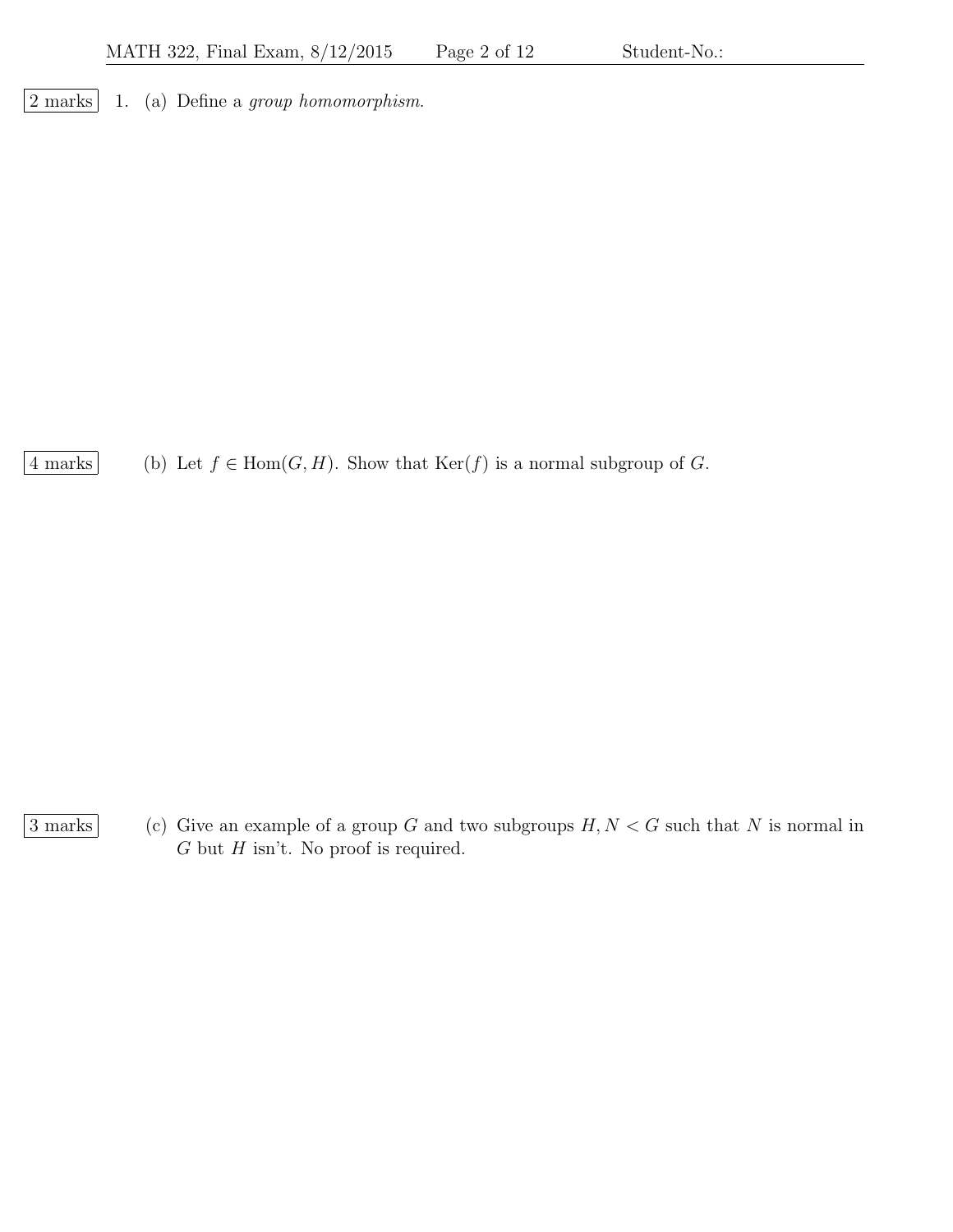2 marks 1. (a) Define a group homomorphism.

4 marks (b) Let  $f \in Hom(G, H)$ . Show that  $\text{Ker}(f)$  is a normal subgroup of G.

 $\boxed{3 \text{ marks}}$  (c) Give an example of a group G and two subgroups  $H, N < G$  such that N is normal in  $G$  but  $H$  isn't. No proof is required.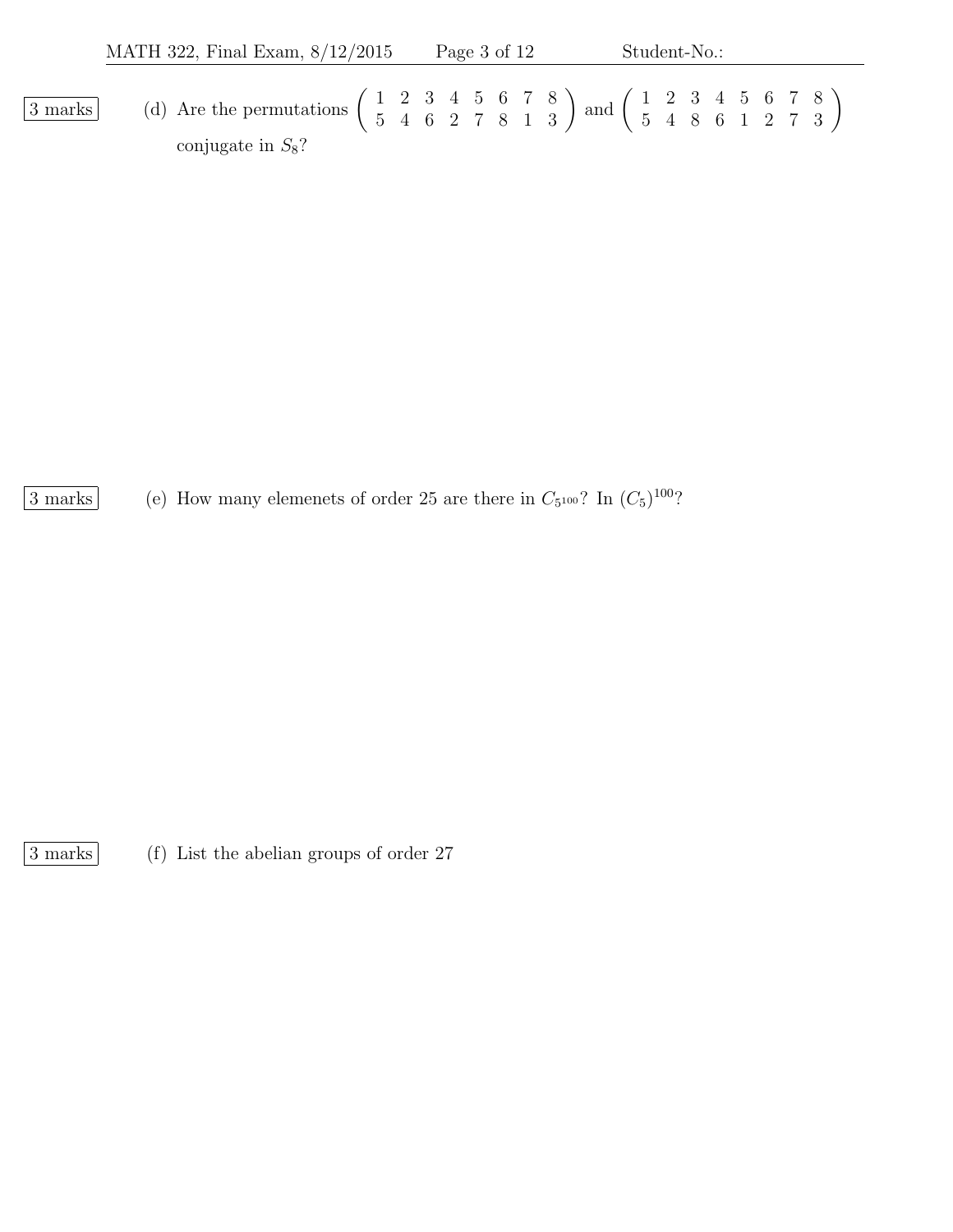$\overline{3 \text{ marks}}$  (d) Are the permutations  $\begin{pmatrix} 1 & 2 & 3 & 4 & 5 & 6 & 7 & 8 \\ 5 & 4 & 6 & 2 & 7 & 8 & 1 & 3 \end{pmatrix}$  and  $\begin{pmatrix} 1 & 2 & 3 & 4 & 5 & 6 & 7 & 8 \\ 5 & 4 & 8 & 6 & 1 & 2 & 7 & 3 \end{pmatrix}$ conjugate in  $S_8$ ?

3 marks (e) How many elemenets of order 25 are there in  $C_{5^{100}}$ ? In  $(C_{5})^{100}$ ?

3 marks (f) List the abelian groups of order 27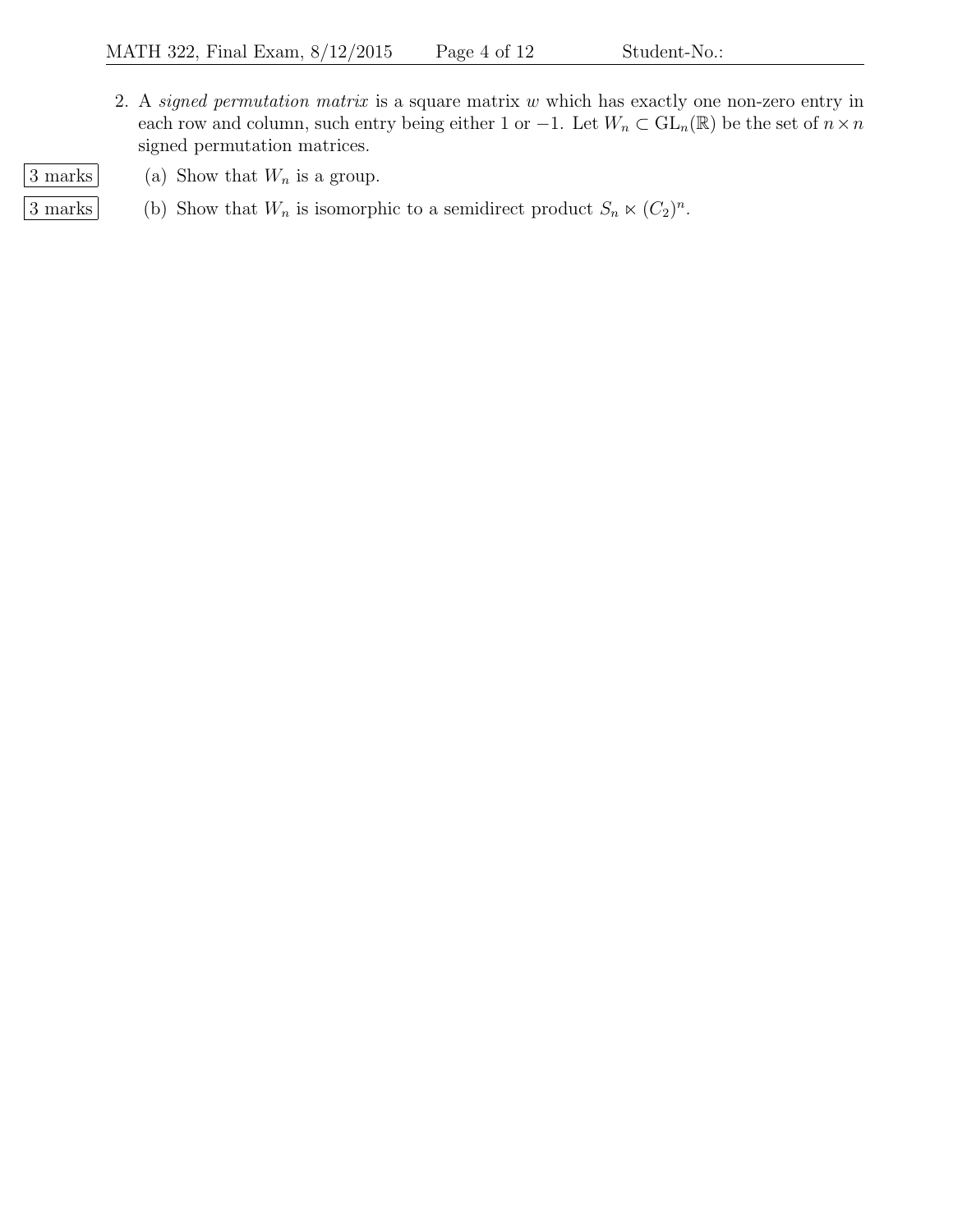- 2. A signed permutation matrix is a square matrix w which has exactly one non-zero entry in each row and column, such entry being either 1 or  $-1$ . Let  $W_n \subset GL_n(\mathbb{R})$  be the set of  $n \times n$ signed permutation matrices.
- 
- $\boxed{3 \text{ marks}}$  (a) Show that  $W_n$  is a group.
- 3 marks (b) Show that  $W_n$  is isomorphic to a semidirect product  $S_n \ltimes (C_2)^n$ .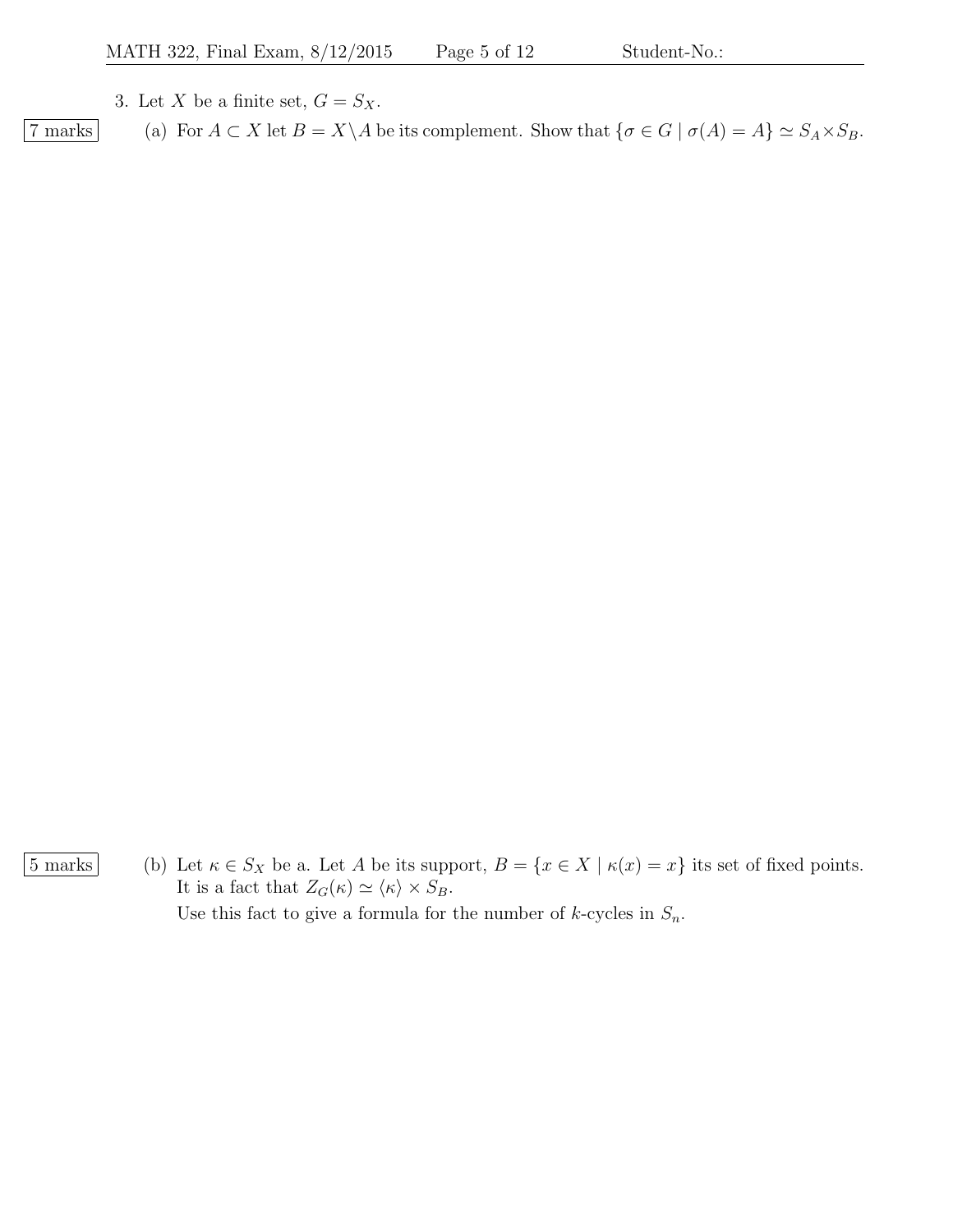3. Let X be a finite set,  $G = S_X$ .

7 marks (a) For  $A \subset X$  let  $B = X \setminus A$  be its complement. Show that  $\{\sigma \in G \mid \sigma(A) = A\} \simeq S_A \times S_B$ .

 $\boxed{5 \text{ marks}}$  (b) Let  $\kappa \in S_X$  be a. Let A be its support,  $B = \{x \in X \mid \kappa(x) = x\}$  its set of fixed points. It is a fact that  $Z_G(\kappa) \simeq \langle \kappa \rangle \times S_B$ .

Use this fact to give a formula for the number of  $k$ -cycles in  $S_n$ .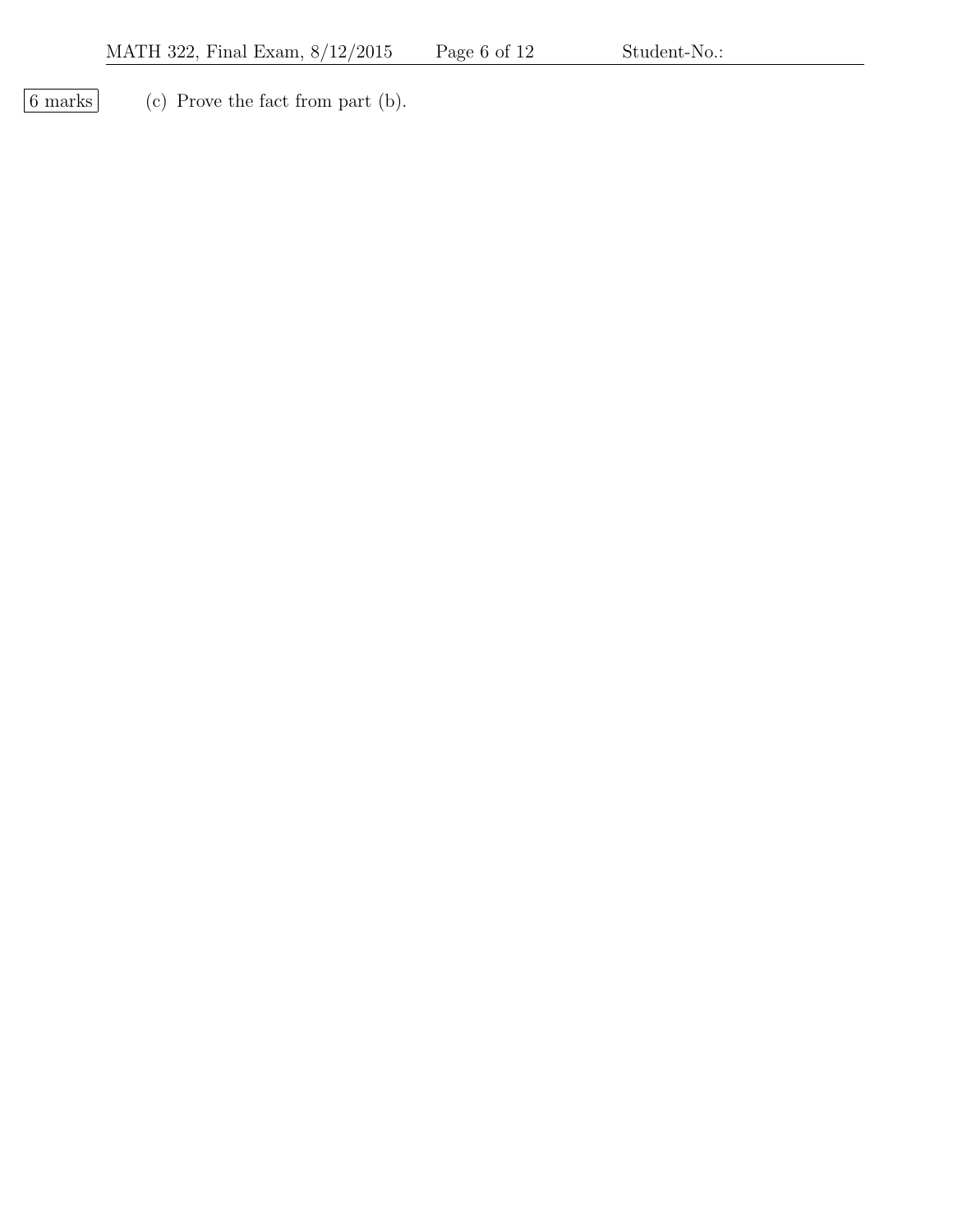$\boxed{6 \text{ marks}}$  (c) Prove the fact from part (b).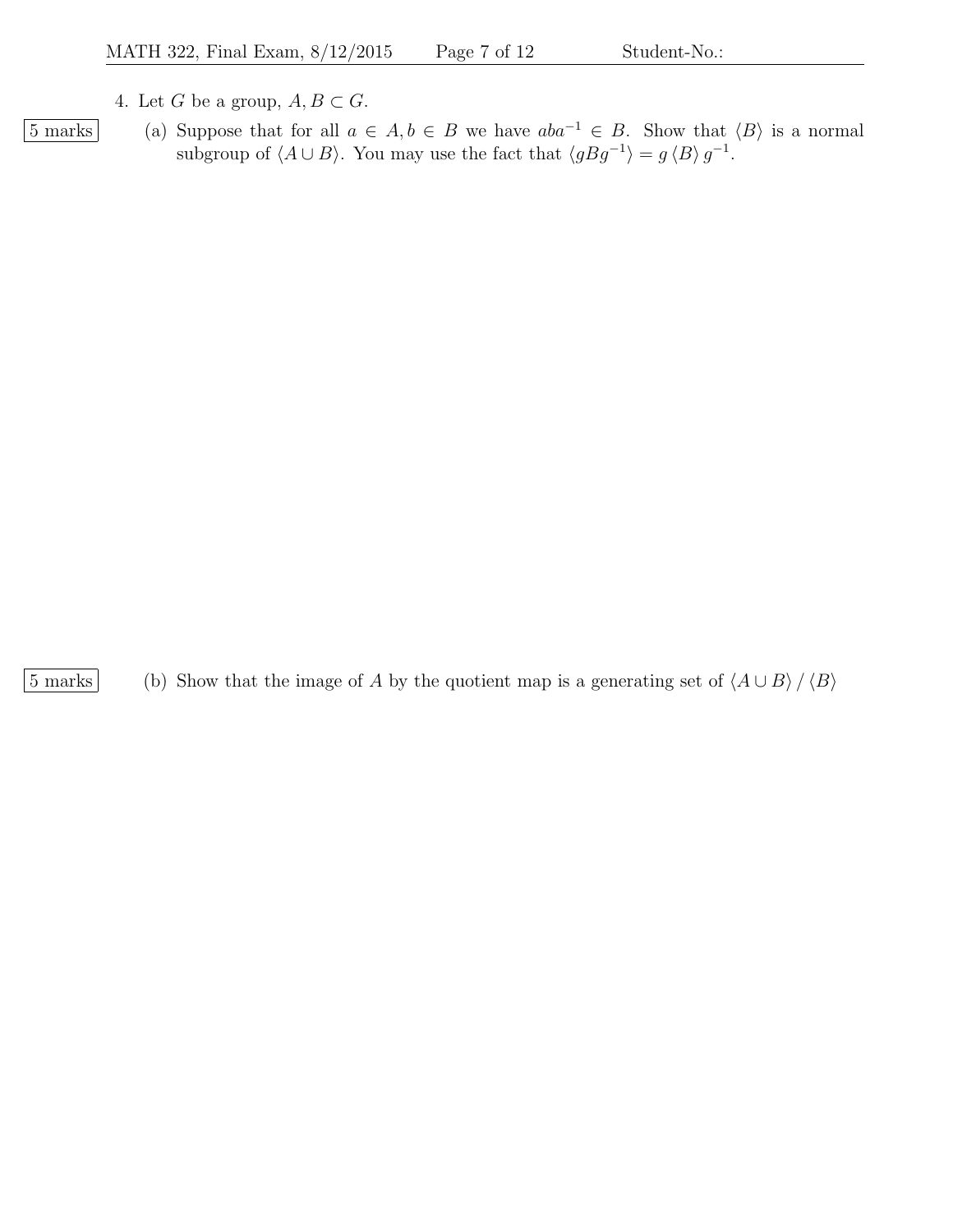- 4. Let G be a group,  $A, B \subset G$ .
- 
- $\boxed{5 \text{ marks}}$  (a) Suppose that for all  $a \in A, b \in B$  we have  $aba^{-1} \in B$ . Show that  $\langle B \rangle$  is a normal subgroup of  $\langle A \cup B \rangle$ . You may use the fact that  $\langle gBg^{-1} \rangle = g \langle B \rangle g^{-1}$ .

5 marks (b) Show that the image of A by the quotient map is a generating set of  $\langle A \cup B \rangle / \langle B \rangle$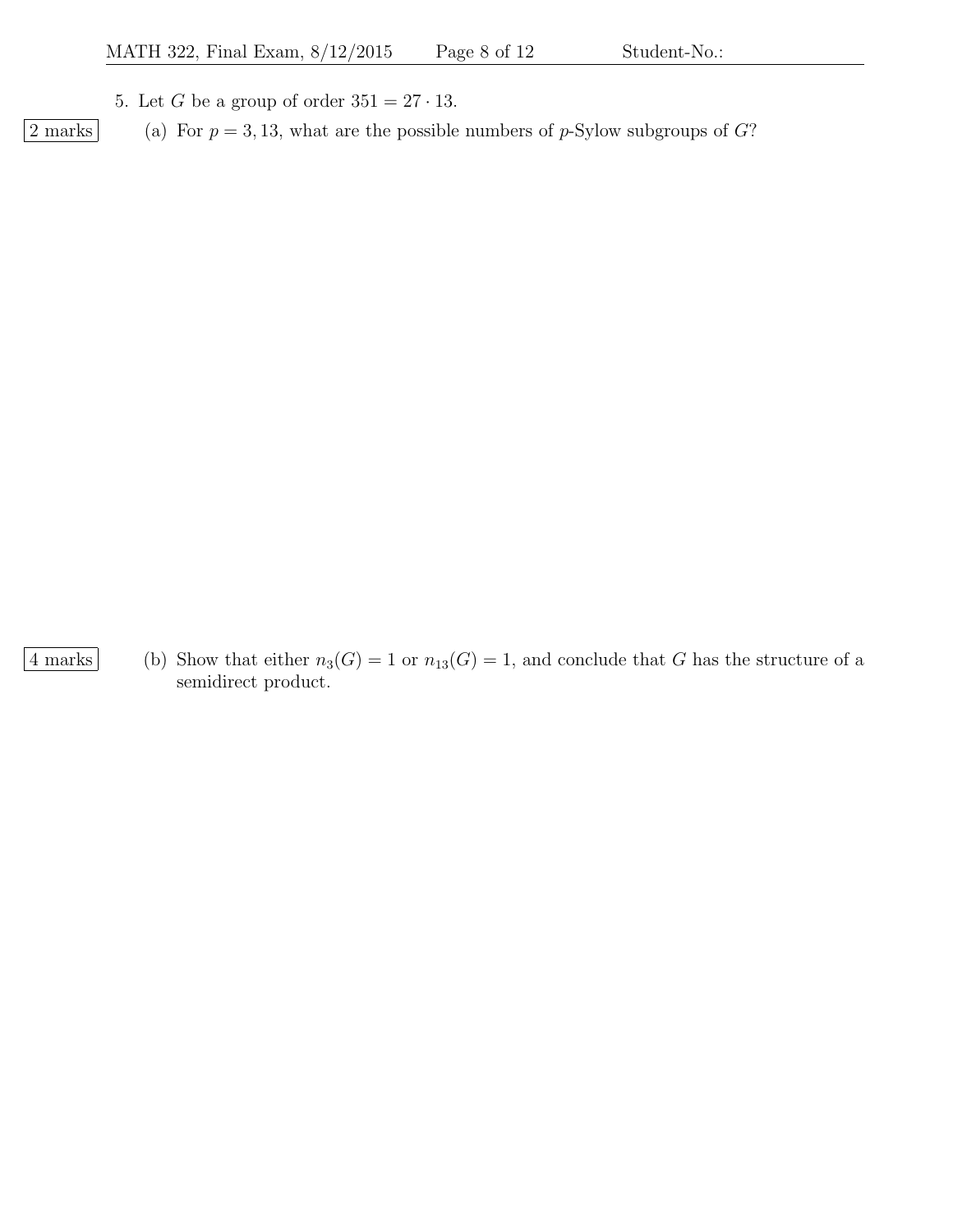5. Let G be a group of order  $351 = 27 \cdot 13$ .

 $\boxed{2 \text{ marks}}$  (a) For  $p = 3, 13$ , what are the possible numbers of p-Sylow subgroups of G?

4 marks (b) Show that either  $n_3(G) = 1$  or  $n_{13}(G) = 1$ , and conclude that G has the structure of a semidirect product.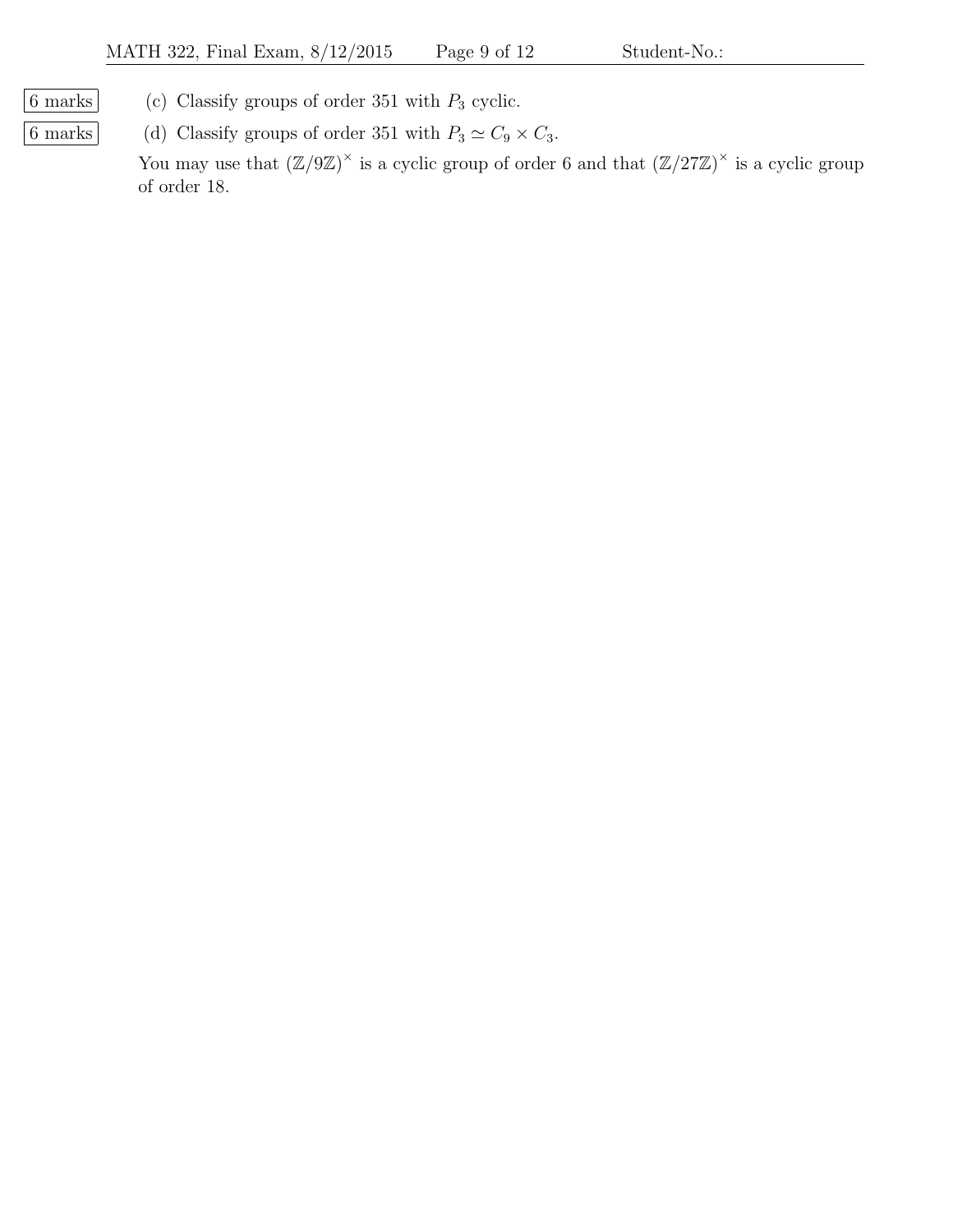- 
- $\boxed{6 \text{ marks}}$  (c) Classify groups of order 351 with  $P_3$  cyclic.
- 6 marks (d) Classify groups of order 351 with  $P_3 \simeq C_9 \times C_3$ .

You may use that  $(\mathbb{Z}/9\mathbb{Z})^{\times}$  is a cyclic group of order 6 and that  $(\mathbb{Z}/27\mathbb{Z})^{\times}$  is a cyclic group of order 18.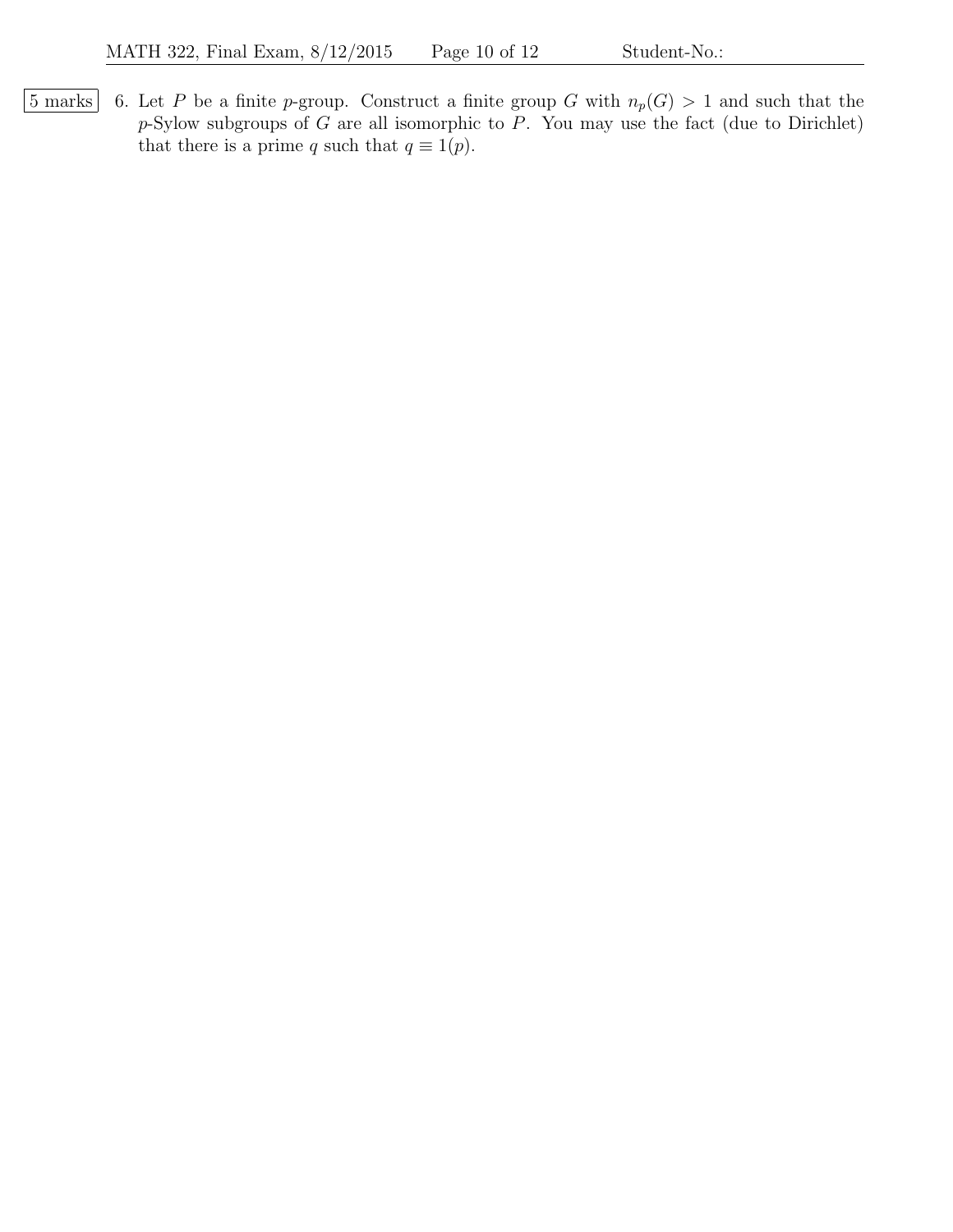$\boxed{5 \text{ marks}}$  6. Let P be a finite p-group. Construct a finite group G with  $n_p(G) > 1$  and such that the  $p$ -Sylow subgroups of G are all isomorphic to P. You may use the fact (due to Dirichlet) that there is a prime q such that  $q \equiv 1(p)$ .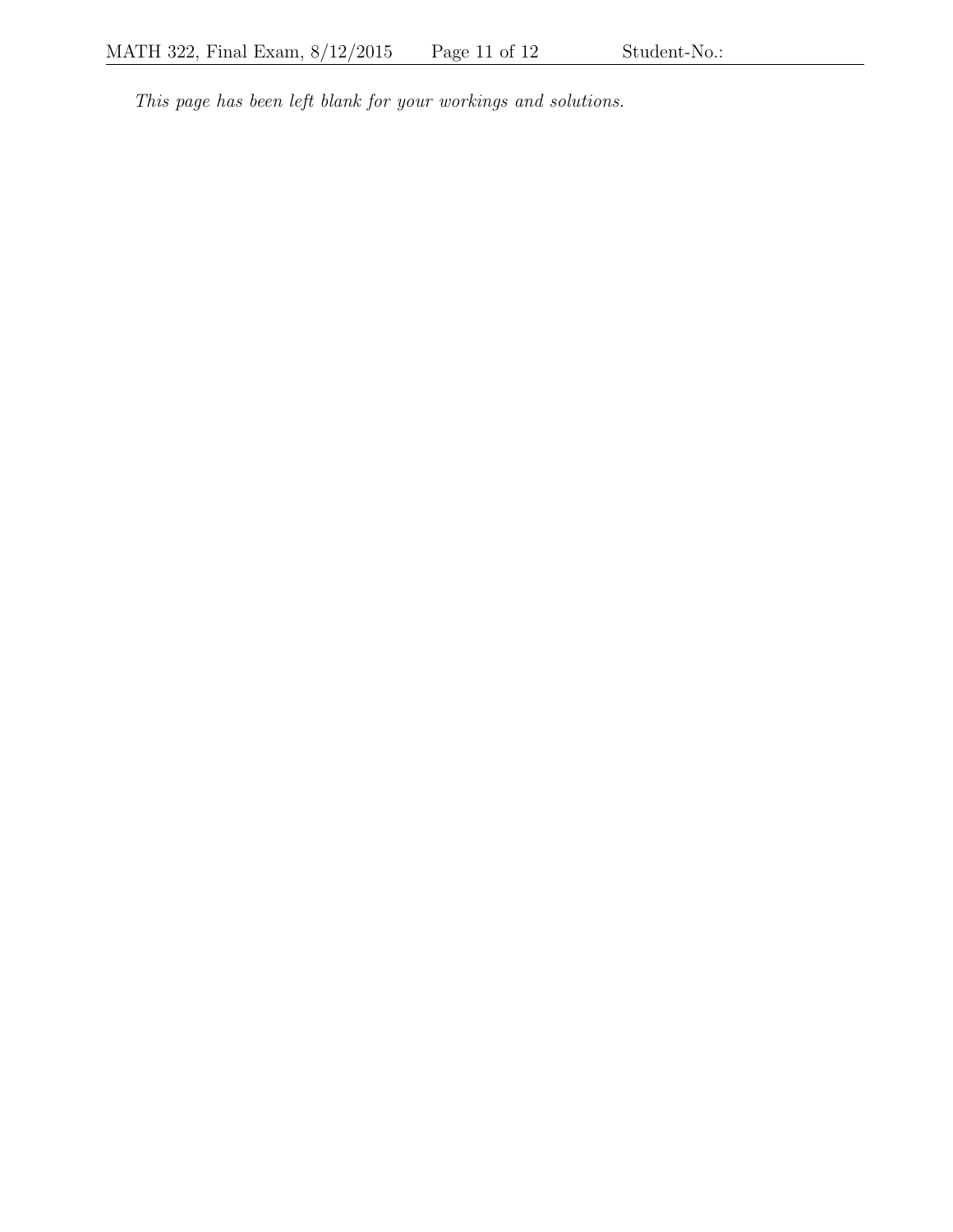This page has been left blank for your workings and solutions.